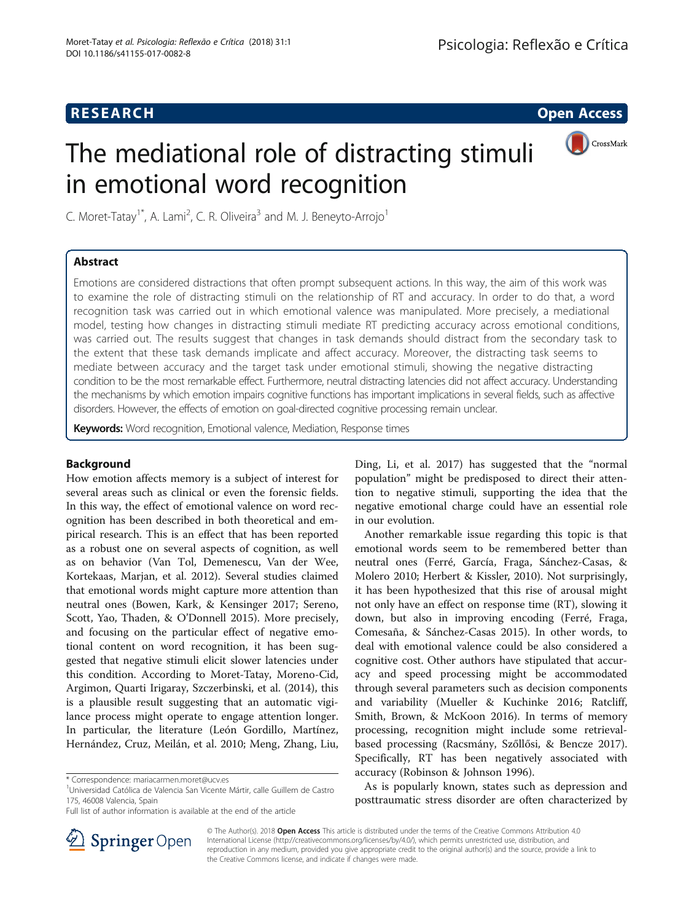# **RESEARCH CHE Open Access**

# The mediational role of distracting stimuli in emotional word recognition



C. Moret-Tatay<sup>1\*</sup>, A. Lami<sup>2</sup>, C. R. Oliveira<sup>3</sup> and M. J. Beneyto-Arrojo<sup>1</sup>

# Abstract

Emotions are considered distractions that often prompt subsequent actions. In this way, the aim of this work was to examine the role of distracting stimuli on the relationship of RT and accuracy. In order to do that, a word recognition task was carried out in which emotional valence was manipulated. More precisely, a mediational model, testing how changes in distracting stimuli mediate RT predicting accuracy across emotional conditions, was carried out. The results suggest that changes in task demands should distract from the secondary task to the extent that these task demands implicate and affect accuracy. Moreover, the distracting task seems to mediate between accuracy and the target task under emotional stimuli, showing the negative distracting condition to be the most remarkable effect. Furthermore, neutral distracting latencies did not affect accuracy. Understanding the mechanisms by which emotion impairs cognitive functions has important implications in several fields, such as affective disorders. However, the effects of emotion on goal-directed cognitive processing remain unclear.

Keywords: Word recognition, Emotional valence, Mediation, Response times

# Background

How emotion affects memory is a subject of interest for several areas such as clinical or even the forensic fields. In this way, the effect of emotional valence on word recognition has been described in both theoretical and empirical research. This is an effect that has been reported as a robust one on several aspects of cognition, as well as on behavior (Van Tol, Demenescu, Van der Wee, Kortekaas, Marjan, et al. [2012\)](#page-4-0). Several studies claimed that emotional words might capture more attention than neutral ones (Bowen, Kark, & Kensinger [2017;](#page-4-0) Sereno, Scott, Yao, Thaden, & O'Donnell [2015\)](#page-4-0). More precisely, and focusing on the particular effect of negative emotional content on word recognition, it has been suggested that negative stimuli elicit slower latencies under this condition. According to Moret-Tatay, Moreno-Cid, Argimon, Quarti Irigaray, Szczerbinski, et al. [\(2014](#page-4-0)), this is a plausible result suggesting that an automatic vigilance process might operate to engage attention longer. In particular, the literature (León Gordillo, Martínez, Hernández, Cruz, Meilán, et al. [2010;](#page-4-0) Meng, Zhang, Liu,

Ding, Li, et al. [2017](#page-4-0)) has suggested that the "normal population" might be predisposed to direct their attention to negative stimuli, supporting the idea that the negative emotional charge could have an essential role in our evolution.

Another remarkable issue regarding this topic is that emotional words seem to be remembered better than neutral ones (Ferré, García, Fraga, Sánchez-Casas, & Molero [2010;](#page-4-0) Herbert & Kissler, [2010\)](#page-4-0). Not surprisingly, it has been hypothesized that this rise of arousal might not only have an effect on response time (RT), slowing it down, but also in improving encoding (Ferré, Fraga, Comesaña, & Sánchez-Casas [2015\)](#page-4-0). In other words, to deal with emotional valence could be also considered a cognitive cost. Other authors have stipulated that accuracy and speed processing might be accommodated through several parameters such as decision components and variability (Mueller & Kuchinke [2016;](#page-4-0) Ratcliff, Smith, Brown, & McKoon [2016\)](#page-4-0). In terms of memory processing, recognition might include some retrievalbased processing (Racsmány, Szőllősi, & Bencze [2017](#page-4-0)). Specifically, RT has been negatively associated with accuracy (Robinson & Johnson [1996\)](#page-4-0).

As is popularly known, states such as depression and posttraumatic stress disorder are often characterized by



© The Author(s). 2018 Open Access This article is distributed under the terms of the Creative Commons Attribution 4.0 International License ([http://creativecommons.org/licenses/by/4.0/\)](http://creativecommons.org/licenses/by/4.0/), which permits unrestricted use, distribution, and reproduction in any medium, provided you give appropriate credit to the original author(s) and the source, provide a link to the Creative Commons license, and indicate if changes were made.

<sup>\*</sup> Correspondence: [mariacarmen.moret@ucv.es](mailto:mariacarmen.moret@ucv.es) <sup>1</sup>

<sup>&</sup>lt;sup>1</sup>Universidad Católica de Valencia San Vicente Mártir, calle Guillem de Castro 175, 46008 Valencia, Spain

Full list of author information is available at the end of the article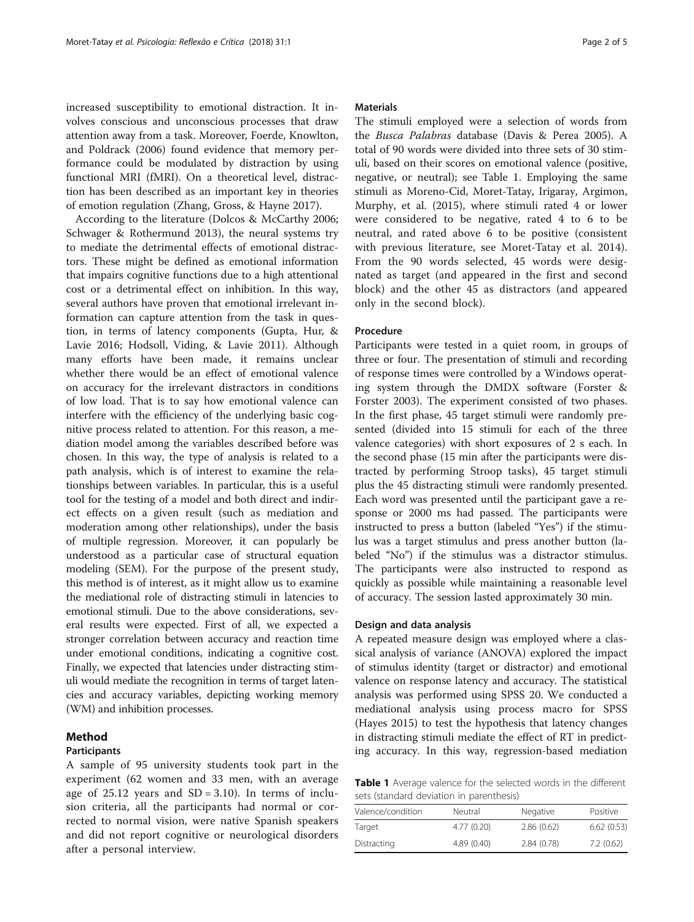increased susceptibility to emotional distraction. It involves conscious and unconscious processes that draw attention away from a task. Moreover, Foerde, Knowlton, and Poldrack ([2006](#page-4-0)) found evidence that memory performance could be modulated by distraction by using functional MRI (fMRI). On a theoretical level, distraction has been described as an important key in theories of emotion regulation (Zhang, Gross, & Hayne [2017](#page-4-0)).

According to the literature (Dolcos & McCarthy [2006](#page-4-0); Schwager & Rothermund [2013\)](#page-4-0), the neural systems try to mediate the detrimental effects of emotional distractors. These might be defined as emotional information that impairs cognitive functions due to a high attentional cost or a detrimental effect on inhibition. In this way, several authors have proven that emotional irrelevant information can capture attention from the task in question, in terms of latency components (Gupta, Hur, & Lavie [2016;](#page-4-0) Hodsoll, Viding, & Lavie [2011\)](#page-4-0). Although many efforts have been made, it remains unclear whether there would be an effect of emotional valence on accuracy for the irrelevant distractors in conditions of low load. That is to say how emotional valence can interfere with the efficiency of the underlying basic cognitive process related to attention. For this reason, a mediation model among the variables described before was chosen. In this way, the type of analysis is related to a path analysis, which is of interest to examine the relationships between variables. In particular, this is a useful tool for the testing of a model and both direct and indirect effects on a given result (such as mediation and moderation among other relationships), under the basis of multiple regression. Moreover, it can popularly be understood as a particular case of structural equation modeling (SEM). For the purpose of the present study, this method is of interest, as it might allow us to examine the mediational role of distracting stimuli in latencies to emotional stimuli. Due to the above considerations, several results were expected. First of all, we expected a stronger correlation between accuracy and reaction time under emotional conditions, indicating a cognitive cost. Finally, we expected that latencies under distracting stimuli would mediate the recognition in terms of target latencies and accuracy variables, depicting working memory (WM) and inhibition processes.

# Method

#### Participants

A sample of 95 university students took part in the experiment (62 women and 33 men, with an average age of  $25.12$  years and  $SD = 3.10$ ). In terms of inclusion criteria, all the participants had normal or corrected to normal vision, were native Spanish speakers and did not report cognitive or neurological disorders after a personal interview.

# Materials

The stimuli employed were a selection of words from the Busca Palabras database (Davis & Perea [2005](#page-4-0)). A total of 90 words were divided into three sets of 30 stimuli, based on their scores on emotional valence (positive, negative, or neutral); see Table 1. Employing the same stimuli as Moreno-Cid, Moret-Tatay, Irigaray, Argimon, Murphy, et al. [\(2015\)](#page-4-0), where stimuli rated 4 or lower were considered to be negative, rated 4 to 6 to be neutral, and rated above 6 to be positive (consistent with previous literature, see Moret-Tatay et al. [2014](#page-4-0)). From the 90 words selected, 45 words were designated as target (and appeared in the first and second block) and the other 45 as distractors (and appeared only in the second block).

# Procedure

Participants were tested in a quiet room, in groups of three or four. The presentation of stimuli and recording of response times were controlled by a Windows operating system through the DMDX software (Forster & Forster [2003](#page-4-0)). The experiment consisted of two phases. In the first phase, 45 target stimuli were randomly presented (divided into 15 stimuli for each of the three valence categories) with short exposures of 2 s each. In the second phase (15 min after the participants were distracted by performing Stroop tasks), 45 target stimuli plus the 45 distracting stimuli were randomly presented. Each word was presented until the participant gave a response or 2000 ms had passed. The participants were instructed to press a button (labeled "Yes") if the stimulus was a target stimulus and press another button (labeled "No") if the stimulus was a distractor stimulus. The participants were also instructed to respond as quickly as possible while maintaining a reasonable level of accuracy. The session lasted approximately 30 min.

## Design and data analysis

A repeated measure design was employed where a classical analysis of variance (ANOVA) explored the impact of stimulus identity (target or distractor) and emotional valence on response latency and accuracy. The statistical analysis was performed using SPSS 20. We conducted a mediational analysis using process macro for SPSS (Hayes [2015\)](#page-4-0) to test the hypothesis that latency changes in distracting stimuli mediate the effect of RT in predicting accuracy. In this way, regression-based mediation

Table 1 Average valence for the selected words in the different sets (standard deviation in parenthesis)

| Valence/condition | Neutral    | Negative   | Positive   |
|-------------------|------------|------------|------------|
| Target            | 4.77(0.20) | 2.86(0.62) | 6.62(0.53) |
| Distracting       | 4.89(0.40) | 2.84(0.78) | 7.2(0.62)  |
|                   |            |            |            |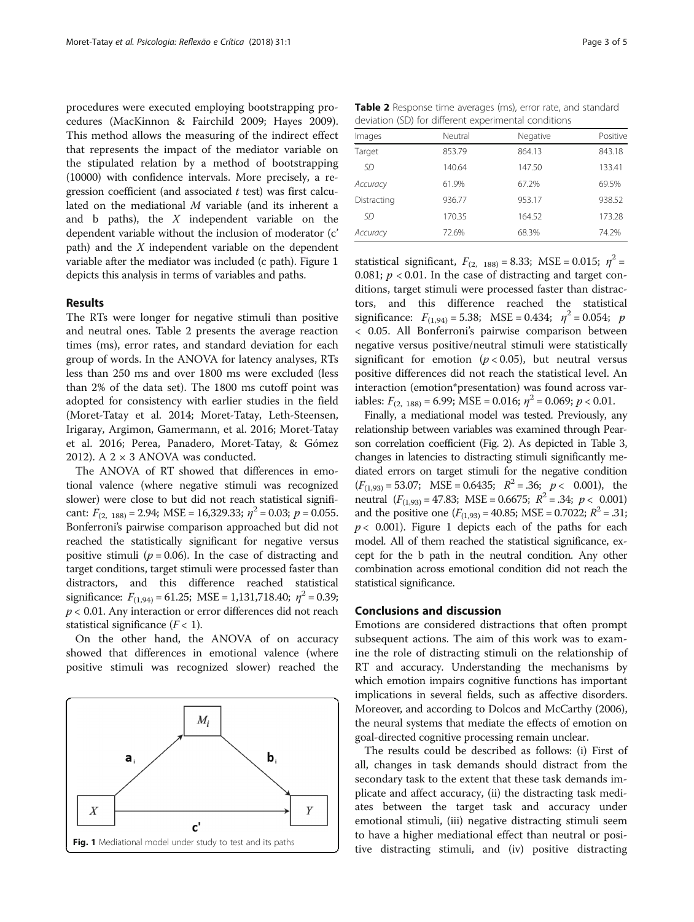procedures were executed employing bootstrapping procedures (MacKinnon & Fairchild [2009;](#page-4-0) Hayes [2009](#page-4-0)). This method allows the measuring of the indirect effect that represents the impact of the mediator variable on the stipulated relation by a method of bootstrapping (10000) with confidence intervals. More precisely, a regression coefficient (and associated  $t$  test) was first calculated on the mediational M variable (and its inherent a and b paths), the  $X$  independent variable on the dependent variable without the inclusion of moderator (c' path) and the  $X$  independent variable on the dependent variable after the mediator was included (c path). Figure 1 depicts this analysis in terms of variables and paths.

# Results

The RTs were longer for negative stimuli than positive and neutral ones. Table 2 presents the average reaction times (ms), error rates, and standard deviation for each group of words. In the ANOVA for latency analyses, RTs less than 250 ms and over 1800 ms were excluded (less than 2% of the data set). The 1800 ms cutoff point was adopted for consistency with earlier studies in the field (Moret-Tatay et al. [2014](#page-4-0); Moret-Tatay, Leth-Steensen, Irigaray, Argimon, Gamermann, et al. [2016;](#page-4-0) Moret-Tatay et al. [2016;](#page-4-0) Perea, Panadero, Moret-Tatay, & Gómez [2012](#page-4-0)). A  $2 \times 3$  ANOVA was conducted.

The ANOVA of RT showed that differences in emotional valence (where negative stimuli was recognized slower) were close to but did not reach statistical significant:  $F_{(2, 188)} = 2.94$ ; MSE = 16,329.33;  $\eta^2 = 0.03$ ;  $p = 0.055$ . Bonferroni's pairwise comparison approached but did not reached the statistically significant for negative versus positive stimuli ( $p = 0.06$ ). In the case of distracting and target conditions, target stimuli were processed faster than distractors, and this difference reached statistical significance:  $F_{(1,94)} = 61.25$ ; MSE = 1,131,718.40;  $\eta^2 = 0.39$ ;  $p < 0.01$ . Any interaction or error differences did not reach statistical significance  $(F < 1)$ .

On the other hand, the ANOVA of on accuracy showed that differences in emotional valence (where positive stimuli was recognized slower) reached the



Table 2 Response time averages (ms), error rate, and standard deviation (SD) for different experimental conditions

| Images      | Neutral | Negative | Positive |
|-------------|---------|----------|----------|
| Target      | 853.79  | 864.13   | 843.18   |
| SD          | 140.64  | 147.50   | 133.41   |
| Accuracy    | 61.9%   | 67.2%    | 69.5%    |
| Distracting | 936.77  | 953.17   | 938.52   |
| SD          | 170.35  | 164.52   | 173.28   |
| Accuracy    | 72.6%   | 68.3%    | 74.2%    |
|             |         |          |          |

statistical significant,  $F_{(2, 188)} = 8.33$ ; MSE = 0.015;  $\eta^2$  = 0.081;  $p < 0.01$ . In the case of distracting and target conditions, target stimuli were processed faster than distractors, and this difference reached the statistical significance:  $F_{(1,94)} = 5.38$ ; MSE = 0.434;  $\eta^2 = 0.054$ ; p < 0.05. All Bonferroni's pairwise comparison between negative versus positive/neutral stimuli were statistically significant for emotion ( $p < 0.05$ ), but neutral versus positive differences did not reach the statistical level. An interaction (emotion\*presentation) was found across variables:  $F_{(2, 188)} = 6.99$ ; MSE = 0.016;  $\eta^2 = 0.069$ ;  $p < 0.01$ .

Finally, a mediational model was tested. Previously, any relationship between variables was examined through Pearson correlation coefficient (Fig. [2\)](#page-3-0). As depicted in Table [3](#page-3-0), changes in latencies to distracting stimuli significantly mediated errors on target stimuli for the negative condition  $(F_{(1,93)} = 53.07; \text{MSE} = 0.6435; \text{R}^2 = .36; \text{p} < 0.001; \text{the}$ neutral  $(F_{(1,93)} = 47.83; \text{ MSE} = 0.6675; R^2 = .34; p < 0.001)$ and the positive one  $(F_{(1,93)} = 40.85; \text{ MSE} = 0.7022; R^2 = .31;$  $p < 0.001$ ). Figure 1 depicts each of the paths for each model. All of them reached the statistical significance, except for the b path in the neutral condition. Any other combination across emotional condition did not reach the statistical significance.

# Conclusions and discussion

Emotions are considered distractions that often prompt subsequent actions. The aim of this work was to examine the role of distracting stimuli on the relationship of RT and accuracy. Understanding the mechanisms by which emotion impairs cognitive functions has important implications in several fields, such as affective disorders. Moreover, and according to Dolcos and McCarthy [\(2006](#page-4-0)), the neural systems that mediate the effects of emotion on goal-directed cognitive processing remain unclear.

The results could be described as follows: (i) First of all, changes in task demands should distract from the secondary task to the extent that these task demands implicate and affect accuracy, (ii) the distracting task mediates between the target task and accuracy under emotional stimuli, (iii) negative distracting stimuli seem to have a higher mediational effect than neutral or posi-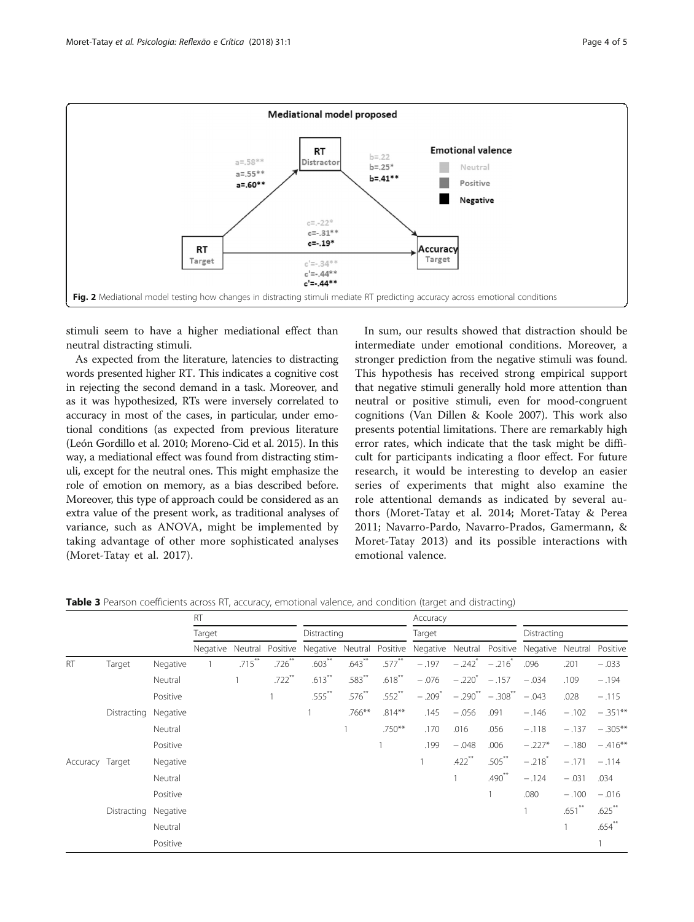<span id="page-3-0"></span>

stimuli seem to have a higher mediational effect than neutral distracting stimuli.

As expected from the literature, latencies to distracting words presented higher RT. This indicates a cognitive cost in rejecting the second demand in a task. Moreover, and as it was hypothesized, RTs were inversely correlated to accuracy in most of the cases, in particular, under emotional conditions (as expected from previous literature (León Gordillo et al. [2010](#page-4-0); Moreno-Cid et al. [2015](#page-4-0)). In this way, a mediational effect was found from distracting stimuli, except for the neutral ones. This might emphasize the role of emotion on memory, as a bias described before. Moreover, this type of approach could be considered as an extra value of the present work, as traditional analyses of variance, such as ANOVA, might be implemented by taking advantage of other more sophisticated analyses (Moret-Tatay et al. [2017](#page-4-0)).

In sum, our results showed that distraction should be intermediate under emotional conditions. Moreover, a stronger prediction from the negative stimuli was found. This hypothesis has received strong empirical support that negative stimuli generally hold more attention than neutral or positive stimuli, even for mood-congruent cognitions (Van Dillen & Koole [2007\)](#page-4-0). This work also presents potential limitations. There are remarkably high error rates, which indicate that the task might be difficult for participants indicating a floor effect. For future research, it would be interesting to develop an easier series of experiments that might also examine the role attentional demands as indicated by several authors (Moret-Tatay et al. [2014](#page-4-0); Moret-Tatay & Perea [2011;](#page-4-0) Navarro-Pardo, Navarro-Prados, Gamermann, & Moret-Tatay [2013\)](#page-4-0) and its possible interactions with emotional valence.

| Table 3 Pearson coefficients across RT, accuracy, emotional valence, and condition (target and distracting) |  |  |  |
|-------------------------------------------------------------------------------------------------------------|--|--|--|
|-------------------------------------------------------------------------------------------------------------|--|--|--|

|                 |             |          | <b>RT</b> |           |                      |                           |           |           | Accuracy                  |                      |                                       |                      |           |            |
|-----------------|-------------|----------|-----------|-----------|----------------------|---------------------------|-----------|-----------|---------------------------|----------------------|---------------------------------------|----------------------|-----------|------------|
|                 |             |          | Target    |           |                      | Distracting               |           |           | Target                    |                      |                                       | Distracting          |           |            |
|                 |             |          | Negative  | Neutral   | Positive             | Negative Neutral Positive |           |           | Negative Neutral Positive |                      |                                       | Negative Neutral     |           | Positive   |
| <b>RT</b>       | Target      | Negative |           | $.715***$ | $.726$ **            | $.603***$                 | $.643***$ | $.577***$ | $-.197$                   | $-.242^* - .216^*$   |                                       | .096                 | .201      | $-.033$    |
|                 |             | Neutral  |           |           | $.722$ <sup>**</sup> | $.613***$                 | $.583***$ | $.618***$ | $-.076$                   | $-.220^*$            | $-.157$                               | $-.034$              | .109      | $-.194$    |
|                 |             | Positive |           |           |                      | $.555***$                 | $.576***$ | $.552***$ | $-.209$ <sup>*</sup>      |                      | $-.290^{\ast\ast}$ $-.308^{\ast\ast}$ | $-.043$              | .028      | $-.115$    |
|                 | Distracting | Negative |           |           |                      |                           | .766**    | $.814***$ | .145                      | $-.056$              | .091                                  | $-.146$              | $-.102$   | $-.351***$ |
|                 |             | Neutral  |           |           |                      |                           |           | $.750***$ | .170                      | .016                 | .056                                  | $-.118$              | $-.137$   | $-.305***$ |
|                 |             | Positive |           |           |                      |                           |           |           | .199                      | $-.048$              | .006                                  | $-.227*$             | $-.180$   | $-.416**$  |
| Accuracy Target |             | Negative |           |           |                      |                           |           |           |                           | $.422$ <sup>**</sup> | $.505***$                             | $-.218$ <sup>*</sup> | $-.171$   | $-.114$    |
|                 |             | Neutral  |           |           |                      |                           |           |           |                           |                      | $.490***$                             | $-.124$              | $-.031$   | .034       |
|                 |             | Positive |           |           |                      |                           |           |           |                           |                      |                                       | .080                 | $-.100$   | $-.016$    |
|                 | Distracting | Negative |           |           |                      |                           |           |           |                           |                      |                                       |                      | $.651$ ** | $.625***$  |
|                 |             | Neutral  |           |           |                      |                           |           |           |                           |                      |                                       |                      | 1         | $.654***$  |
|                 |             | Positive |           |           |                      |                           |           |           |                           |                      |                                       |                      |           |            |